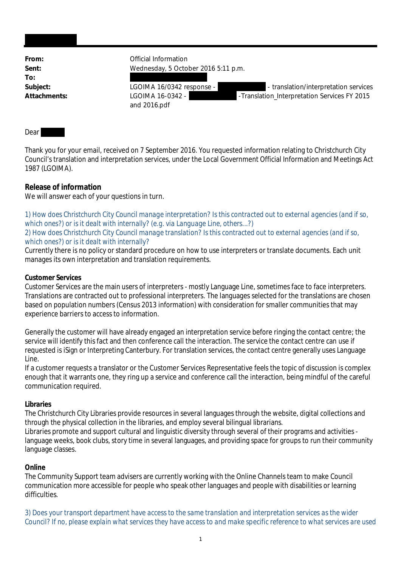From: **From:** Official Information **Sent:** Wednesday, 5 October 2016 5:11 p.m. **To:** Subject: LGOIMA 16/0342 response - Translation/interpretation services Attachments: LGOIMA 16-0342 - **Attachments:** LGOIMA 16-0342 - Franslation\_Interpretation Services FY 2015 and 2016.pdf

## Dear

Thank you for your email, received on 7 September 2016. You requested information relating to Christchurch City Council's translation and interpretation services, under the Local Government Official Information and Meetings Act 1987 (LGOIMA).

## **Release of information**

We will answer each of your questions in turn.

*1) How does Christchurch City Council manage interpretation? Is this contracted out to external agencies (and if so, which ones?) or is it dealt with internally? (e.g. via Language Line, others...?)*

## *2) How does Christchurch City Council manage translation? Is this contracted out to external agencies (and if so, which ones?) or is it dealt with internally?*

Currently there is no policy or standard procedure on how to use interpreters or translate documents. Each unit manages its own interpretation and translation requirements.

## **Customer Services**

Customer Services are the main users of interpreters - mostly Language Line, sometimes face to face interpreters. Translations are contracted out to professional interpreters. The languages selected for the translations are chosen based on population numbers (Census 2013 information) with consideration for smaller communities that may experience barriers to access to information.

Generally the customer will have already engaged an interpretation service before ringing the contact centre; the service will identify this fact and then conference call the interaction. The service the contact centre can use if requested is iSign or Interpreting Canterbury. For translation services, the contact centre generally uses Language Line.

If a customer requests a translator or the Customer Services Representative feels the topic of discussion is complex enough that it warrants one, they ring up a service and conference call the interaction, being mindful of the careful communication required.

## **Libraries**

The Christchurch City Libraries provide resources in several languages through the website, digital collections and through the physical collection in the libraries, and employ several bilingual librarians.

Libraries promote and support cultural and linguistic diversity through several of their programs and activities language weeks, book clubs, story time in several languages, and providing space for groups to run their community language classes.

## **Online**

The Community Support team advisers are currently working with the Online Channels team to make Council communication more accessible for people who speak other languages and people with disabilities or learning difficulties.

*3) Does your transport department have access to the same translation and interpretation services as the wider Council? If no, please explain what services they have access to and make specific reference to what services are used*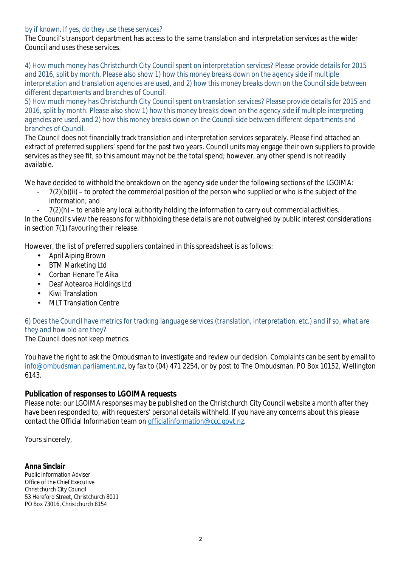## *by if known. If yes, do they use these services?*

The Council's transport department has access to the same translation and interpretation services as the wider Council and uses these services.

*4) How much money has Christchurch City Council spent on interpretation services? Please provide details for 2015 and 2016, split by month. Please also show 1) how this money breaks down on the agency side if multiple interpretation and translation agencies are used, and 2) how this money breaks down on the Council side between different departments and branches of Council.*

*5) How much money has Christchurch City Council spent on translation services? Please provide details for 2015 and 2016, split by month. Please also show 1) how this money breaks down on the agency side if multiple interpreting agencies are used, and 2) how this money breaks down on the Council side between different departments and branches of Council.*

The Council does not financially track translation and interpretation services separately. Please find attached an extract of preferred suppliers' spend for the past two years. Council units may engage their own suppliers to provide services as they see fit, so this amount may not be the total spend; however, any other spend is not readily available.

We have decided to withhold the breakdown on the agency side under the following sections of the LGOIMA:

- $7(2)(b)(ii)$  to protect the commercial position of the person who supplied or who is the subject of the information; and
- $7(2)(h)$  to enable any local authority holding the information to carry out commercial activities.

In the Council's view the reasons for withholding these details are not outweighed by public interest considerations in section 7(1) favouring their release.

However, the list of preferred suppliers contained in this spreadsheet is as follows:

- April Aiping Brown
- BTM Marketing Ltd
- Corban Henare Te Aika
- Deaf Aotearoa Holdings Ltd
- Kiwi Translation
- MLT Translation Centre

# *6) Does the Council have metrics for tracking language services (translation, interpretation, etc.) and if so, what are they and how old are they?*

The Council does not keep metrics.

You have the right to ask the Ombudsman to investigate and review our decision. Complaints can be sent by email to info@ombudsman.parliament.nz, by fax to (04) 471 2254, or by post to The Ombudsman, PO Box 10152, Wellington 6143.

## **Publication of responses to LGOIMA requests**

Please note: our LGOIMA responses may be published on the Christchurch City Council website a month after they have been responded to, with requesters' personal details withheld. If you have any concerns about this please contact the Official Information team on officialinformation@ccc.govt.nz.

Yours sincerely,

**Anna Sinclair** Public Information Adviser Office of the Chief Executive Christchurch City Council 53 Hereford Street, Christchurch 8011 PO Box 73016, Christchurch 8154